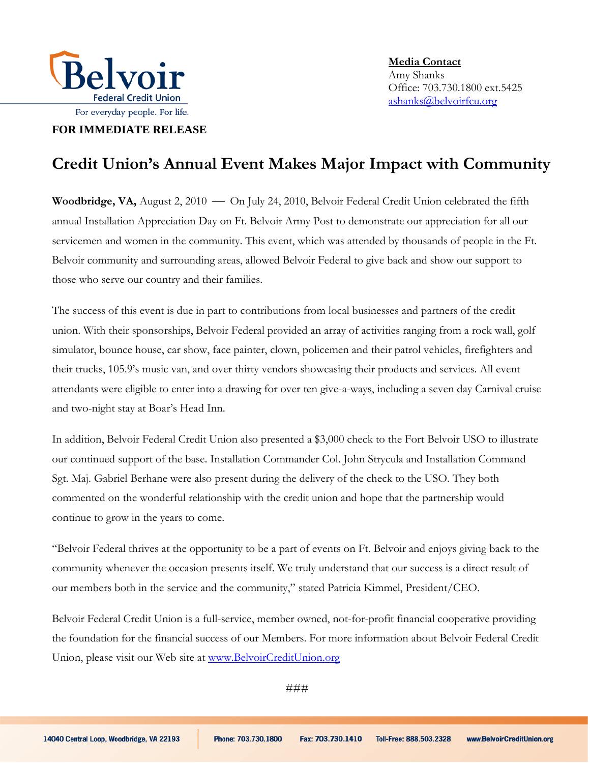

**FOR IMMEDIATE RELEASE**

**Media Contact**  Amy Shanks Office: 703.730.1800 ext.5425 ashanks@belvoirfcu.org

## **Credit Union's Annual Event Makes Major Impact with Community**

Woodbridge, VA, August 2, 2010 - On July 24, 2010, Belvoir Federal Credit Union celebrated the fifth annual Installation Appreciation Day on Ft. Belvoir Army Post to demonstrate our appreciation for all our servicemen and women in the community. This event, which was attended by thousands of people in the Ft. Belvoir community and surrounding areas, allowed Belvoir Federal to give back and show our support to those who serve our country and their families.

The success of this event is due in part to contributions from local businesses and partners of the credit union. With their sponsorships, Belvoir Federal provided an array of activities ranging from a rock wall, golf simulator, bounce house, car show, face painter, clown, policemen and their patrol vehicles, firefighters and their trucks, 105.9's music van, and over thirty vendors showcasing their products and services. All event attendants were eligible to enter into a drawing for over ten give-a-ways, including a seven day Carnival cruise and two-night stay at Boar's Head Inn.

In addition, Belvoir Federal Credit Union also presented a \$3,000 check to the Fort Belvoir USO to illustrate our continued support of the base. Installation Commander Col. John Strycula and Installation Command Sgt. Maj. Gabriel Berhane were also present during the delivery of the check to the USO. They both commented on the wonderful relationship with the credit union and hope that the partnership would continue to grow in the years to come.

"Belvoir Federal thrives at the opportunity to be a part of events on Ft. Belvoir and enjoys giving back to the community whenever the occasion presents itself. We truly understand that our success is a direct result of our members both in the service and the community," stated Patricia Kimmel, President/CEO.

Belvoir Federal Credit Union is a full-service, member owned, not-for-profit financial cooperative providing the foundation for the financial success of our Members. For more information about Belvoir Federal Credit Union, please visit our Web site at [www.BelvoirCreditUnion.org](http://www.belvoircreditunion.org/)

###